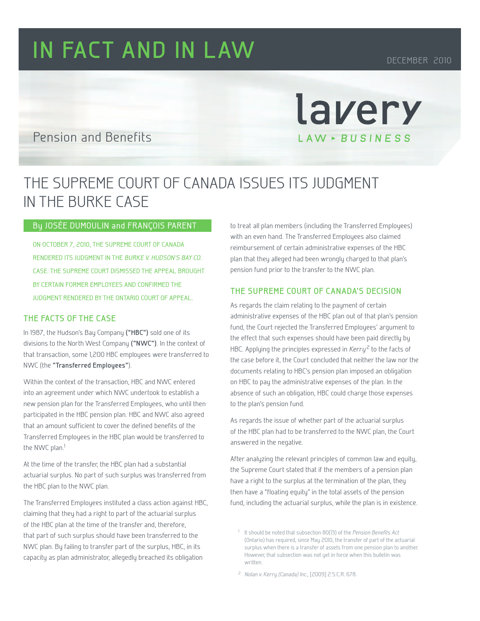# **IN FACT AND IN LAW** DECEMBER 2010

### Pension and Benefits

## The Supreme Court of Canada issues its judgment in the Burke case

#### By Josée Dumoulin and François Parent

On October 7, 2010, the Supreme Court of Canada rendered its judgment in the Burke v. Hudson's Bay Co. case. The Supreme Court dismissed the appeal brought by certain former employees and confirmed the judgment rendered by the Ontario Court of Appeal.

#### **The facts of the case**

In 1987, the Hudson's Bay Company **("HBC")** sold one of its divisions to the North West Company **("NWC")**. In the context of that transaction, some 1,200 HBC employees were transferred to NWC (the **"Transferred Employees"**).

Within the context of the transaction, HBC and NWC entered into an agreement under which NWC undertook to establish a new pension plan for the Transferred Employees, who until then participated in the HBC pension plan. HBC and NWC also agreed that an amount sufficient to cover the defined benefits of the Transferred Employees in the HBC plan would be transferred to the NWC plan.<sup>1</sup>

At the time of the transfer, the HBC plan had a substantial actuarial surplus. No part of such surplus was transferred from the HBC plan to the NWC plan.

The Transferred Employees instituted a class action against HBC, claiming that they had a right to part of the actuarial surplus of the HBC plan at the time of the transfer and, therefore, that part of such surplus should have been transferred to the NWC plan. By failing to transfer part of the surplus, HBC, in its capacity as plan administrator, allegedly breached its obligation

to treat all plan members (including the Transferred Employees) with an even hand. The Transferred Employees also claimed reimbursement of certain administrative expenses of the HBC plan that they alleged had been wrongly charged to that plan's pension fund prior to the transfer to the NWC plan.

lavery

LAW - BUSINESS

#### **The Supreme Court of Canada's decision**

As regards the claim relating to the payment of certain administrative expenses of the HBC plan out of that plan's pension fund, the Court rejected the Transferred Employees' argument to the effect that such expenses should have been paid directly by HBC. Applying the principles expressed in  $Kerry<sup>2</sup>$  to the facts of the case before it, the Court concluded that neither the law nor the documents relating to HBC's pension plan imposed an obligation on HBC to pay the administrative expenses of the plan. In the absence of such an obligation, HBC could charge those expenses to the plan's pension fund.

As regards the issue of whether part of the actuarial surplus of the HBC plan had to be transferred to the NWC plan, the Court answered in the negative.

After analyzing the relevant principles of common law and equity, the Supreme Court stated that if the members of a pension plan have a right to the surplus at the termination of the plan, they then have a "floating equity" in the total assets of the pension fund, including the actuarial surplus, while the plan is in existence.

<sup>2</sup> Nolan v. Kerry (Canada) Inc., [2009] 2 S.C.R. 678.

<sup>&</sup>lt;sup>1</sup> It should be noted that subsection 80(13) of the *Pension Benefits Act* (Ontario) has required, since May 2010, the transfer of part of the actuarial surplus when there is a transfer of assets from one pension plan to another. However, that subsection was not yet in force when this bulletin was written.